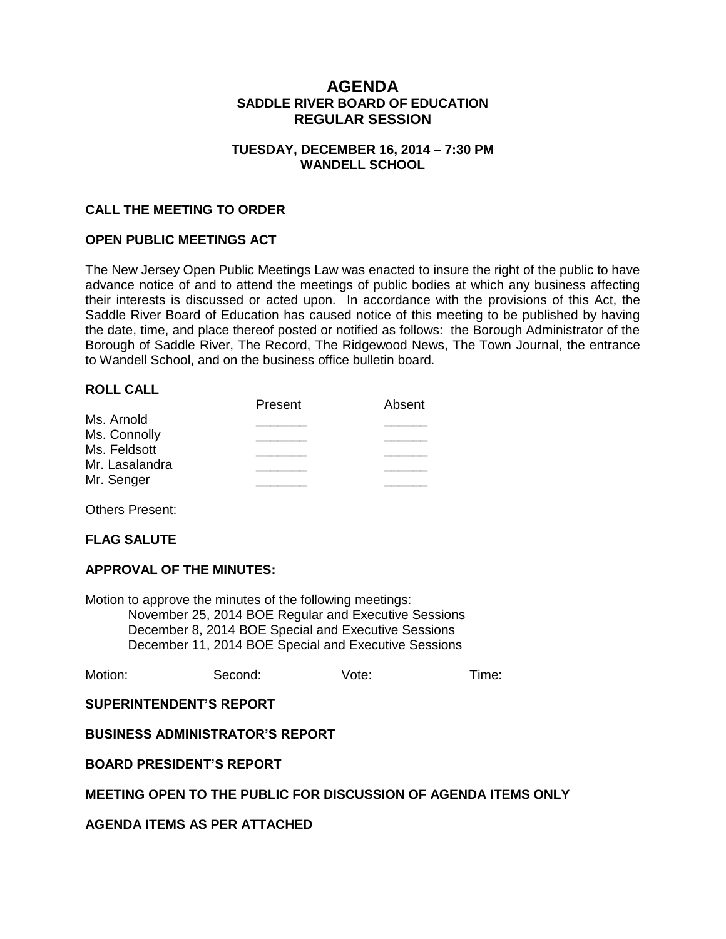# **AGENDA SADDLE RIVER BOARD OF EDUCATION REGULAR SESSION**

## **TUESDAY, DECEMBER 16, 2014 – 7:30 PM WANDELL SCHOOL**

## **CALL THE MEETING TO ORDER**

## **OPEN PUBLIC MEETINGS ACT**

The New Jersey Open Public Meetings Law was enacted to insure the right of the public to have advance notice of and to attend the meetings of public bodies at which any business affecting their interests is discussed or acted upon. In accordance with the provisions of this Act, the Saddle River Board of Education has caused notice of this meeting to be published by having the date, time, and place thereof posted or notified as follows: the Borough Administrator of the Borough of Saddle River, The Record, The Ridgewood News, The Town Journal, the entrance to Wandell School, and on the business office bulletin board.

## **ROLL CALL**

|                | Present | Absent |
|----------------|---------|--------|
| Ms. Arnold     |         |        |
| Ms. Connolly   |         |        |
| Ms. Feldsott   |         |        |
| Mr. Lasalandra |         |        |
| Mr. Senger     |         |        |
|                |         |        |

Others Present:

## **FLAG SALUTE**

## **APPROVAL OF THE MINUTES:**

Motion to approve the minutes of the following meetings: November 25, 2014 BOE Regular and Executive Sessions December 8, 2014 BOE Special and Executive Sessions December 11, 2014 BOE Special and Executive Sessions

Motion: Second: Vote: Time:

## **SUPERINTENDENT'S REPORT**

## **BUSINESS ADMINISTRATOR'S REPORT**

## **BOARD PRESIDENT'S REPORT**

## **MEETING OPEN TO THE PUBLIC FOR DISCUSSION OF AGENDA ITEMS ONLY**

**AGENDA ITEMS AS PER ATTACHED**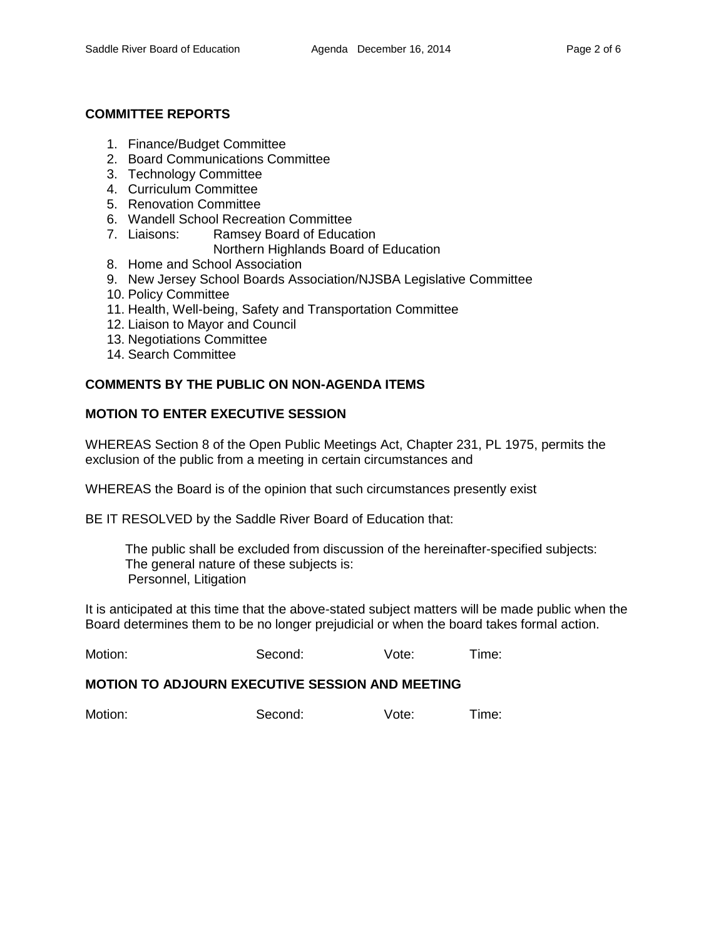## **COMMITTEE REPORTS**

- 1. Finance/Budget Committee
- 2. Board Communications Committee
- 3. Technology Committee
- 4. Curriculum Committee
- 5. Renovation Committee
- 6. Wandell School Recreation Committee
- 7. Liaisons: Ramsey Board of Education Northern Highlands Board of Education
- 8. Home and School Association
- 9. New Jersey School Boards Association/NJSBA Legislative Committee
- 10. Policy Committee
- 11. Health, Well-being, Safety and Transportation Committee
- 12. Liaison to Mayor and Council
- 13. Negotiations Committee
- 14. Search Committee

## **COMMENTS BY THE PUBLIC ON NON-AGENDA ITEMS**

## **MOTION TO ENTER EXECUTIVE SESSION**

WHEREAS Section 8 of the Open Public Meetings Act, Chapter 231, PL 1975, permits the exclusion of the public from a meeting in certain circumstances and

WHEREAS the Board is of the opinion that such circumstances presently exist

BE IT RESOLVED by the Saddle River Board of Education that:

 The public shall be excluded from discussion of the hereinafter-specified subjects: The general nature of these subjects is: Personnel, Litigation

It is anticipated at this time that the above-stated subject matters will be made public when the Board determines them to be no longer prejudicial or when the board takes formal action.

Motion: Second: Vote: Time:

## **MOTION TO ADJOURN EXECUTIVE SESSION AND MEETING**

Motion: Second: Vote: Time: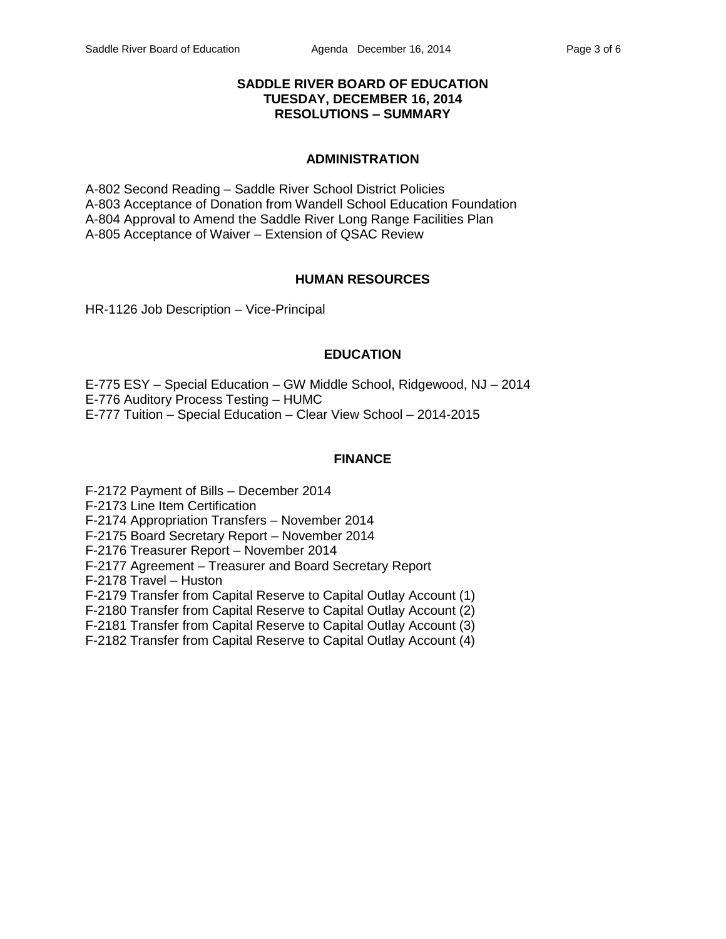## **SADDLE RIVER BOARD OF EDUCATION TUESDAY, DECEMBER 16, 2014 RESOLUTIONS – SUMMARY**

## **ADMINISTRATION**

A-802 Second Reading – Saddle River School District Policies A-803 Acceptance of Donation from Wandell School Education Foundation A-804 Approval to Amend the Saddle River Long Range Facilities Plan A-805 Acceptance of Waiver – Extension of QSAC Review

## **HUMAN RESOURCES**

HR-1126 Job Description – Vice-Principal

## **EDUCATION**

E-775 ESY – Special Education – GW Middle School, Ridgewood, NJ – 2014 E-776 Auditory Process Testing – HUMC E-777 Tuition – Special Education – Clear View School – 2014-2015

## **FINANCE**

F-2172 Payment of Bills – December 2014

F-2173 Line Item Certification

F-2174 Appropriation Transfers – November 2014

F-2175 Board Secretary Report – November 2014

F-2176 Treasurer Report – November 2014

F-2177 Agreement – Treasurer and Board Secretary Report

F-2178 Travel – Huston

F-2179 Transfer from Capital Reserve to Capital Outlay Account (1)

F-2180 Transfer from Capital Reserve to Capital Outlay Account (2)

F-2181 Transfer from Capital Reserve to Capital Outlay Account (3)

F-2182 Transfer from Capital Reserve to Capital Outlay Account (4)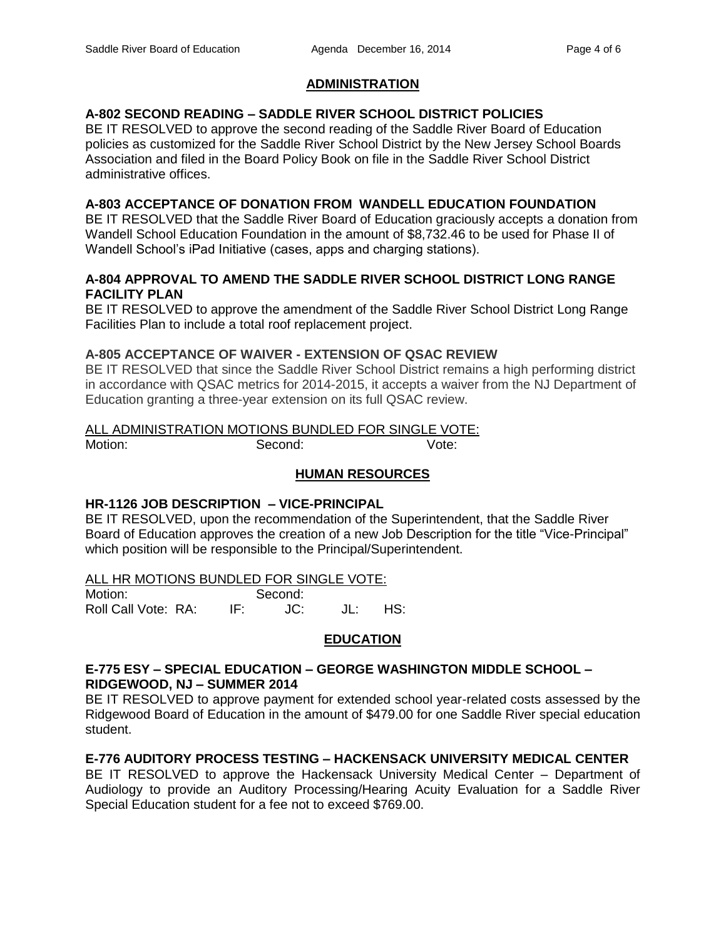# **ADMINISTRATION**

# **A-802 SECOND READING – SADDLE RIVER SCHOOL DISTRICT POLICIES**

BE IT RESOLVED to approve the second reading of the Saddle River Board of Education policies as customized for the Saddle River School District by the New Jersey School Boards Association and filed in the Board Policy Book on file in the Saddle River School District administrative offices.

## **A-803 ACCEPTANCE OF DONATION FROM WANDELL EDUCATION FOUNDATION**

BE IT RESOLVED that the Saddle River Board of Education graciously accepts a donation from Wandell School Education Foundation in the amount of \$8,732.46 to be used for Phase II of Wandell School's iPad Initiative (cases, apps and charging stations).

## **A-804 APPROVAL TO AMEND THE SADDLE RIVER SCHOOL DISTRICT LONG RANGE FACILITY PLAN**

BE IT RESOLVED to approve the amendment of the Saddle River School District Long Range Facilities Plan to include a total roof replacement project.

## **A-805 ACCEPTANCE OF WAIVER - EXTENSION OF QSAC REVIEW**

BE IT RESOLVED that since the Saddle River School District remains a high performing district in accordance with QSAC metrics for 2014-2015, it accepts a waiver from the NJ Department of Education granting a three-year extension on its full QSAC review.

## ALL ADMINISTRATION MOTIONS BUNDLED FOR SINGLE VOTE:

Motion: Second: Second: Vote:

## **HUMAN RESOURCES**

## **HR-1126 JOB DESCRIPTION – VICE-PRINCIPAL**

BE IT RESOLVED, upon the recommendation of the Superintendent, that the Saddle River Board of Education approves the creation of a new Job Description for the title "Vice-Principal" which position will be responsible to the Principal/Superintendent.

## ALL HR MOTIONS BUNDLED FOR SINGLE VOTE:

| Motion:             | Second: |  |
|---------------------|---------|--|
| Roll Call Vote: RA: |         |  |

## **EDUCATION**

## **E-775 ESY – SPECIAL EDUCATION – GEORGE WASHINGTON MIDDLE SCHOOL – RIDGEWOOD, NJ – SUMMER 2014**

BE IT RESOLVED to approve payment for extended school year-related costs assessed by the Ridgewood Board of Education in the amount of \$479.00 for one Saddle River special education student.

## **E-776 AUDITORY PROCESS TESTING – HACKENSACK UNIVERSITY MEDICAL CENTER**

BE IT RESOLVED to approve the Hackensack University Medical Center – Department of Audiology to provide an Auditory Processing/Hearing Acuity Evaluation for a Saddle River Special Education student for a fee not to exceed \$769.00.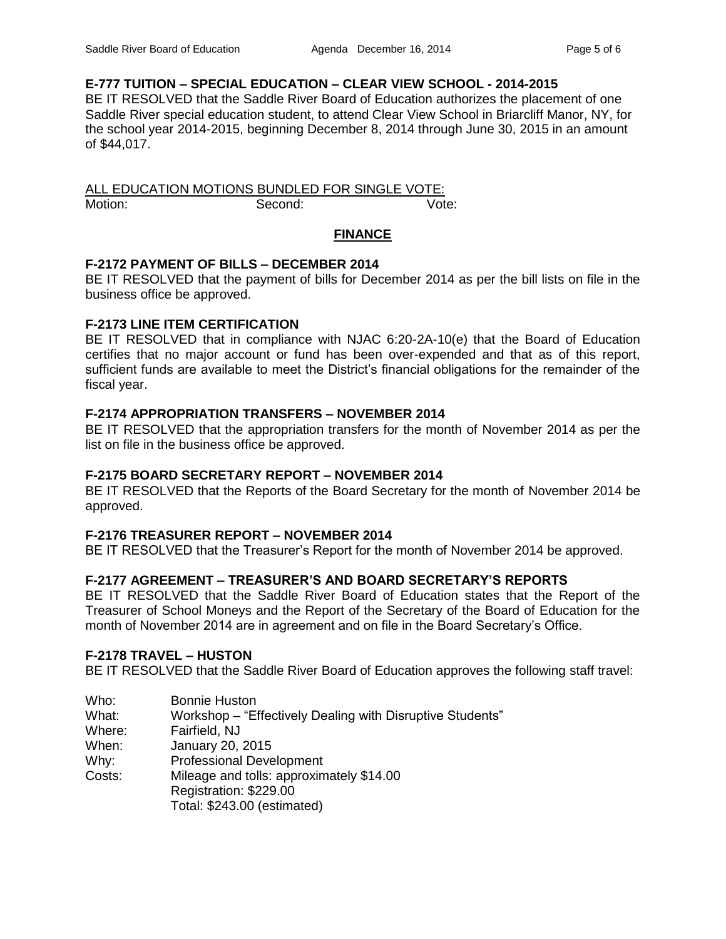## **E-777 TUITION – SPECIAL EDUCATION – CLEAR VIEW SCHOOL - 2014-2015**

BE IT RESOLVED that the Saddle River Board of Education authorizes the placement of one Saddle River special education student, to attend Clear View School in Briarcliff Manor, NY, for the school year 2014-2015, beginning December 8, 2014 through June 30, 2015 in an amount of \$44,017.

ALL EDUCATION MOTIONS BUNDLED FOR SINGLE VOTE: Motion: Second: Second: Vote:

#### **FINANCE**

## **F-2172 PAYMENT OF BILLS – DECEMBER 2014**

BE IT RESOLVED that the payment of bills for December 2014 as per the bill lists on file in the business office be approved.

#### **F-2173 LINE ITEM CERTIFICATION**

BE IT RESOLVED that in compliance with NJAC 6:20-2A-10(e) that the Board of Education certifies that no major account or fund has been over-expended and that as of this report, sufficient funds are available to meet the District's financial obligations for the remainder of the fiscal year.

## **F-2174 APPROPRIATION TRANSFERS – NOVEMBER 2014**

BE IT RESOLVED that the appropriation transfers for the month of November 2014 as per the list on file in the business office be approved.

## **F-2175 BOARD SECRETARY REPORT – NOVEMBER 2014**

BE IT RESOLVED that the Reports of the Board Secretary for the month of November 2014 be approved.

## **F-2176 TREASURER REPORT – NOVEMBER 2014**

BE IT RESOLVED that the Treasurer's Report for the month of November 2014 be approved.

## **F-2177 AGREEMENT – TREASURER'S AND BOARD SECRETARY'S REPORTS**

BE IT RESOLVED that the Saddle River Board of Education states that the Report of the Treasurer of School Moneys and the Report of the Secretary of the Board of Education for the month of November 2014 are in agreement and on file in the Board Secretary's Office.

## **F-2178 TRAVEL – HUSTON**

BE IT RESOLVED that the Saddle River Board of Education approves the following staff travel:

- Who: Bonnie Huston
- What: Workshop "Effectively Dealing with Disruptive Students"
- Where: Fairfield, NJ
- When: January 20, 2015
- Why: Professional Development
- Costs: Mileage and tolls: approximately \$14.00

Registration: \$229.00

Total: \$243.00 (estimated)